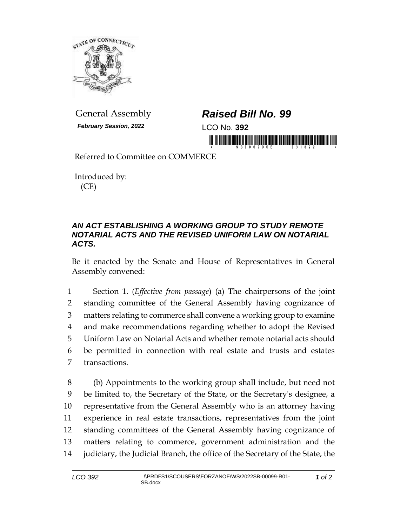

*February Session, 2022* LCO No. **392**

## General Assembly *Raised Bill No. 99*

in monday is in this fight one of this individual in

Referred to Committee on COMMERCE

Introduced by: (CE)

## *AN ACT ESTABLISHING A WORKING GROUP TO STUDY REMOTE NOTARIAL ACTS AND THE REVISED UNIFORM LAW ON NOTARIAL ACTS.*

Be it enacted by the Senate and House of Representatives in General Assembly convened:

 Section 1. (*Effective from passage*) (a) The chairpersons of the joint standing committee of the General Assembly having cognizance of matters relating to commerce shall convene a working group to examine and make recommendations regarding whether to adopt the Revised Uniform Law on Notarial Acts and whether remote notarial acts should be permitted in connection with real estate and trusts and estates transactions.

 (b) Appointments to the working group shall include, but need not be limited to, the Secretary of the State, or the Secretary's designee, a representative from the General Assembly who is an attorney having experience in real estate transactions, representatives from the joint standing committees of the General Assembly having cognizance of matters relating to commerce, government administration and the judiciary, the Judicial Branch, the office of the Secretary of the State, the